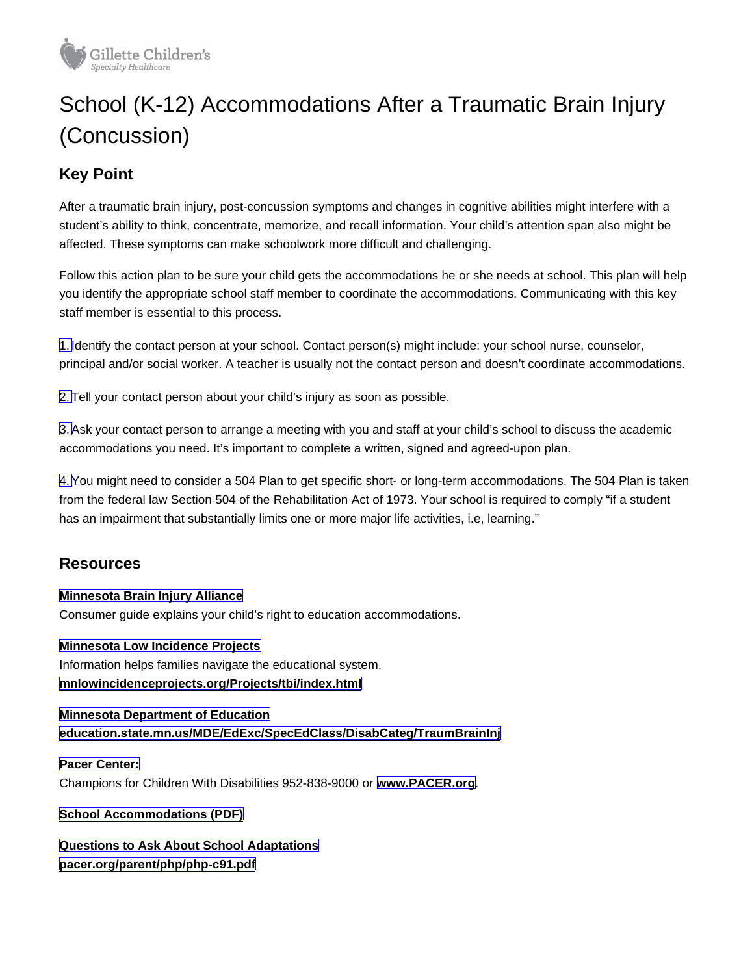## School (K-12) Accommodations After a Traumatic Brain Injury (Concussion)

## Key Point

After a traumatic brain injury, post-concussion symptoms and changes in cognitive abilities might interfere with a student's ability to think, concentrate, memorize, and recall information. Your child's attention span also might be affected. These symptoms can make schoolwork more difficult and challenging.

Follow this action plan to be sure your child gets the accommodations he or she needs at school. This plan will help you identify the appropriate school staff member to coordinate the accommodations. Communicating with this key staff member is essential to this process.

1.Identify the contact person at your school. Contact person(s) might include: your school nurse, counselor, principal and/or social worker. A teacher is usually not the contact person and doesn't coordinate accommodations.

2.Tell your contact person about your child's injury as soon as possible.

3.Ask your contact person to arrange a meeting with you and staff at your child's school to discuss the academic accommodations you need. It's important to complete a written, signed and agreed-upon plan.

4. You might need to consider a 504 Plan to get specific short- or long-term accommodations. The 504 Plan is taken from the federal law Section 504 of the Rehabilitation Act of 1973. Your school is required to comply "if a student has an impairment that substantially limits one or more major life activities, i.e, learning."

## **Resources**

Minnesota Brain Injury Alliance Consumer guide explains your child's right to education accommodations.

Minnesota Low Incidence Projects Information helps families navigate the educational system. [mnlowincidenceprojects.org/Projects/tbi/index.html](http://www.mnlowincidenceprojects.org/Projects/tbi/index.html)

Minnesota Department of Education [education.state.mn.us/MDE/EdExc/SpecEdClass/DisabCateg/TraumBrainInj](http://www.education.state.mn.us/MDE/EdExc/SpecEdClass/DisabCateg/TraumBrainInj)

Pacer Center: Champions for Children With Disabilities 952-838-9000 or [www.PACER.org](https://www.pacer.org/) .

[School Accommodations \(PDF\)](http://www.pacer.org/parent/php/PHP-c91.pdf)

Questions to Ask About School Adaptations

[pacer.org/parent/php/php-c91.pdf](https://www.pacer.org/parent/php/php-c91.pdf)